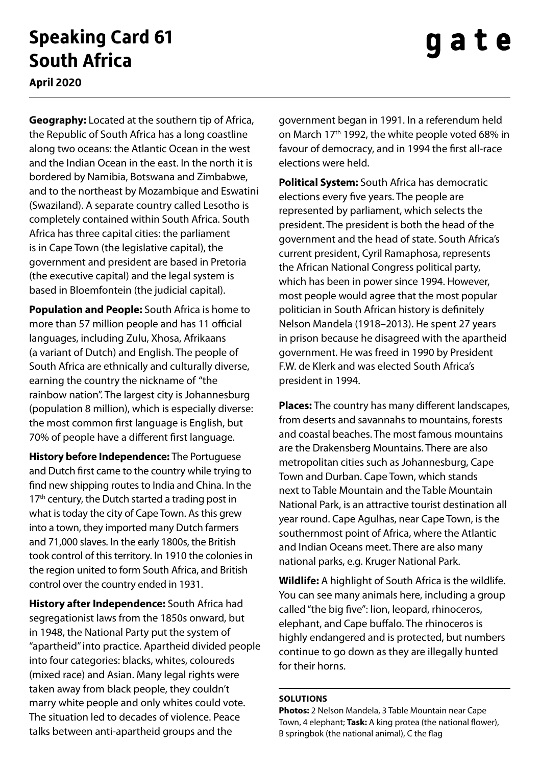## **Speaking Card 61 South Africa**

## gate

**April 2020**

**Geography:** Located at the southern tip of Africa, the Republic of South Africa has a long coastline along two oceans: the Atlantic Ocean in the west and the Indian Ocean in the east. In the north it is bordered by Namibia, Botswana and Zimbabwe, and to the northeast by Mozambique and Eswatini (Swaziland). A separate country called Lesotho is completely contained within South Africa. South Africa has three capital cities: the parliament is in Cape Town (the legislative capital), the government and president are based in Pretoria (the executive capital) and the legal system is based in Bloemfontein (the judicial capital).

**Population and People:** South Africa is home to more than 57 million people and has 11 official languages, including Zulu, Xhosa, Afrikaans (a variant of Dutch) and English. The people of South Africa are ethnically and culturally diverse, earning the country the nickname of "the rainbow nation". The largest city is Johannesburg (population 8 million), which is especially diverse: the most common first language is English, but 70% of people have a different first language.

**History before Independence:** The Portuguese and Dutch first came to the country while trying to find new shipping routes to India and China. In the 17<sup>th</sup> century, the Dutch started a trading post in what is today the city of Cape Town. As this grew into a town, they imported many Dutch farmers and 71,000 slaves. In the early 1800s, the British took control of this territory. In 1910 the colonies in the region united to form South Africa, and British control over the country ended in 1931.

**History after Independence:** South Africa had segregationist laws from the 1850s onward, but in 1948, the National Party put the system of "apartheid" into practice. Apartheid divided people into four categories: blacks, whites, coloureds (mixed race) and Asian. Many legal rights were taken away from black people, they couldn't marry white people and only whites could vote. The situation led to decades of violence. Peace talks between anti-apartheid groups and the

government began in 1991. In a referendum held on March 17<sup>th</sup> 1992, the white people voted 68% in favour of democracy, and in 1994 the first all-race elections were held.

**Political System:** South Africa has democratic elections every five years. The people are represented by parliament, which selects the president. The president is both the head of the government and the head of state. South Africa's current president, Cyril Ramaphosa, represents the African National Congress political party, which has been in power since 1994. However, most people would agree that the most popular politician in South African history is definitely Nelson Mandela (1918–2013). He spent 27 years in prison because he disagreed with the apartheid government. He was freed in 1990 by President F.W. de Klerk and was elected South Africa's president in 1994.

**Places:** The country has many different landscapes, from deserts and savannahs to mountains, forests and coastal beaches. The most famous mountains are the Drakensberg Mountains. There are also metropolitan cities such as Johannesburg, Cape Town and Durban. Cape Town, which stands next to Table Mountain and the Table Mountain National Park, is an attractive tourist destination all year round. Cape Agulhas, near Cape Town, is the southernmost point of Africa, where the Atlantic and Indian Oceans meet. There are also many national parks, e.g. Kruger National Park.

**Wildlife:** A highlight of South Africa is the wildlife. You can see many animals here, including a group called "the big five": lion, leopard, rhinoceros, elephant, and Cape buffalo. The rhinoceros is highly endangered and is protected, but numbers continue to go down as they are illegally hunted for their horns.

## **Solutions**

**Photos:** 2 Nelson Mandela, 3 Table Mountain near Cape Town, 4 elephant; **Task:** A king protea (the national flower), B springbok (the national animal), C the flag